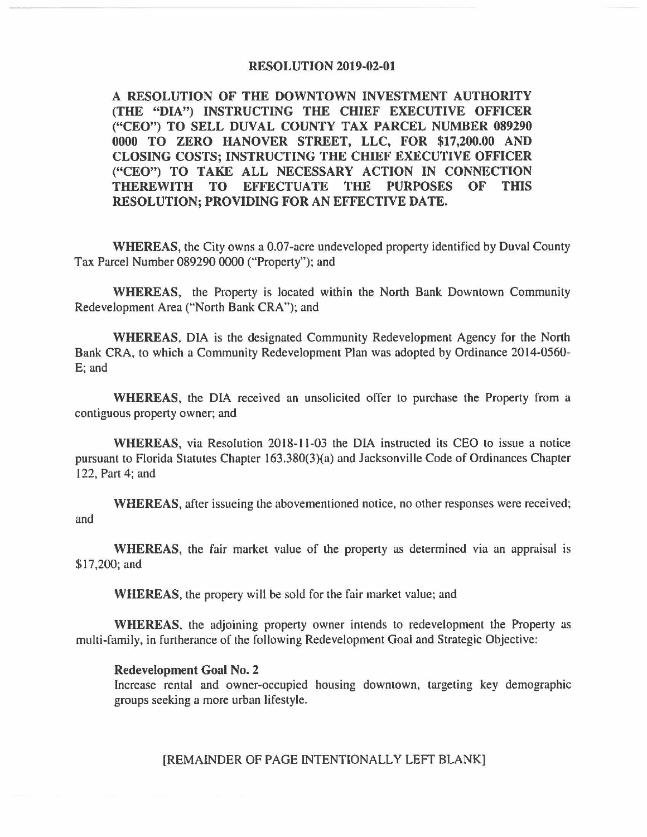## **RESOLUTION 2019-02-01**

**A RESOLUTION OF THE DOWNTOWN INVESTMENT AUTHORITY (THE "DIA") INSTRUCTING THE CHIEF EXECUTIVE OFFICER ("CEO") TO SELL DUVAL COUNTY TAX PARCEL NUMBER 089290 0000 TO ZERO HANOVER STREET, LLC, FOR \$17,200.00 AND CLOSING COSTS; INSTRUCTING THE CHIEF EXECUTIVE OFFICER ("CEO") TO TAKE ALL NECESSARY ACTION IN CONNECTION THEREWITH TO EFFECTUATE THE PURPOSES OF THIS RESOLUTION; PROVIDING FOR AN EFFECTIVE DATE.** 

**WHEREAS,** the City owns a 0.07-acre undeveloped property identified by Duval County Tax Parcel Number 089290 0000 ("Property"); and

**WHEREAS,** the Property is located within the North Bank Downtown Community Redevelopment Area ("North Bank CRA"); and

**WHEREAS,** DIA is the designated Community Redevelopment Agency for the North Bank CRA, to which a Community Redevelopment Plan was adopted by Ordinance 2014-0560- E; and

**WHEREAS,** the DIA received an unsolicited offer to purchase the Property from a contiguous property owner; and

**WHEREAS,** via Resolution 2018-11-03 the DIA instructed its CEO to issue a notice pursuant to Florida Statutes Chapter 163.380(3)(a) and Jacksonville Code of Ordinances Chapter 122, Part 4; and

**WHEREAS,** after issueing the abovementioned notice, no other responses were received; and

**WHEREAS,** the fair market value of the property as determined via an appraisal is \$17,200; and

**WHEREAS,** the propery will be sold for the fair market value; and

**WHEREAS,** the adjoining property owner intends to redevelopment the Property as multi-family, in furtherance of the following Redevelopment Goal and Strategic Objective:

## **Redevelopment Goal No. 2**

Increase rental and owner-occupied housing downtown, targeting key demographic groups seeking a more urban lifestyle.